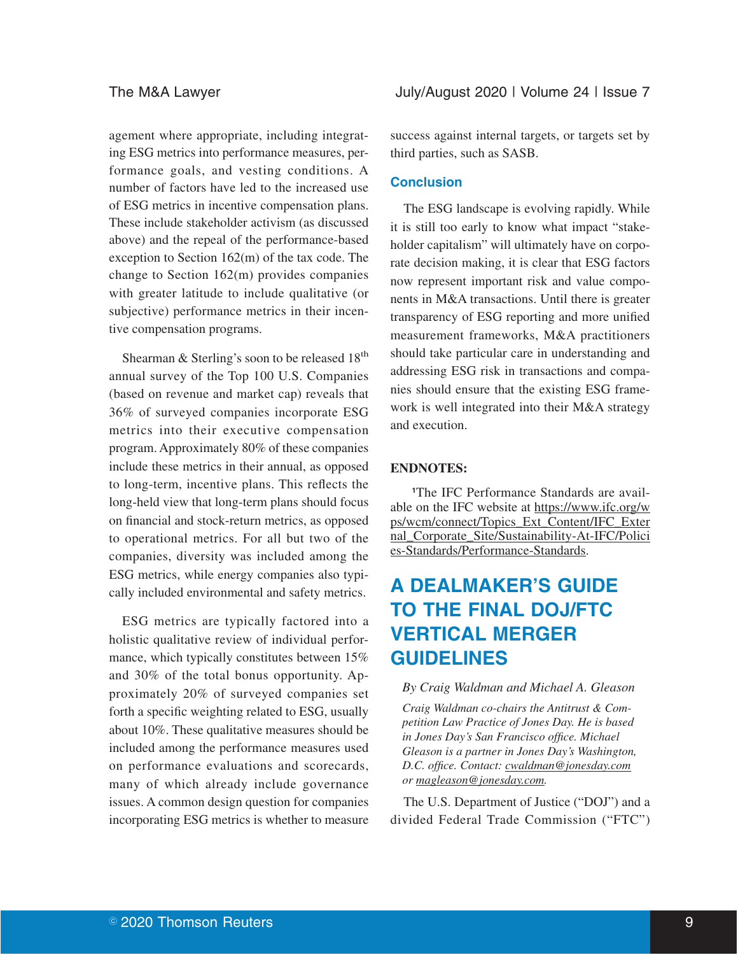agement where appropriate, including integrating ESG metrics into performance measures, performance goals, and vesting conditions. A number of factors have led to the increased use of ESG metrics in incentive compensation plans. These include stakeholder activism (as discussed above) and the repeal of the performance-based exception to Section 162(m) of the tax code. The change to Section 162(m) provides companies with greater latitude to include qualitative (or subjective) performance metrics in their incentive compensation programs.

Shearman & Sterling's soon to be released 18<sup>th</sup> annual survey of the Top 100 U.S. Companies (based on revenue and market cap) reveals that 36% of surveyed companies incorporate ESG metrics into their executive compensation program. Approximately 80% of these companies include these metrics in their annual, as opposed to long-term, incentive plans. This reflects the long-held view that long-term plans should focus on financial and stock-return metrics, as opposed to operational metrics. For all but two of the companies, diversity was included among the ESG metrics, while energy companies also typically included environmental and safety metrics.

ESG metrics are typically factored into a holistic qualitative review of individual performance, which typically constitutes between 15% and 30% of the total bonus opportunity. Approximately 20% of surveyed companies set forth a specific weighting related to ESG, usually about 10%. These qualitative measures should be included among the performance measures used on performance evaluations and scorecards, many of which already include governance issues. A common design question for companies incorporating ESG metrics is whether to measure success against internal targets, or targets set by third parties, such as SASB.

#### **Conclusion**

The ESG landscape is evolving rapidly. While it is still too early to know what impact "stakeholder capitalism" will ultimately have on corporate decision making, it is clear that ESG factors now represent important risk and value components in M&A transactions. Until there is greater transparency of ESG reporting and more unified measurement frameworks, M&A practitioners should take particular care in understanding and addressing ESG risk in transactions and companies should ensure that the existing ESG framework is well integrated into their M&A strategy and execution.

#### **ENDNOTES:**

**1**The IFC Performance Standards are available on the IFC website at https://www.ifc.org/w ps/wcm/connect/Topics\_Ext\_Content/IFC\_Exter nal\_Corporate\_Site/Sustainability-At-IFC/Polici es-Standards/Performance-Standards.

# **A DEALMAKER'S GUIDE TO THE FINAL DOJ/FTC VERTICAL MERGER GUIDELINES**

#### *By Craig Waldman and Michael A. Gleason*

*Craig Waldman co-chairs the Antitrust & Competition Law Practice of Jones Day. He is based in Jones Day's San Francisco office. Michael Gleason is a partner in Jones Day's Washington, D.C. office. Contact: cwaldman@jonesday.com or magleason@jonesday.com.*

The U.S. Department of Justice ("DOJ") and a divided Federal Trade Commission ("FTC")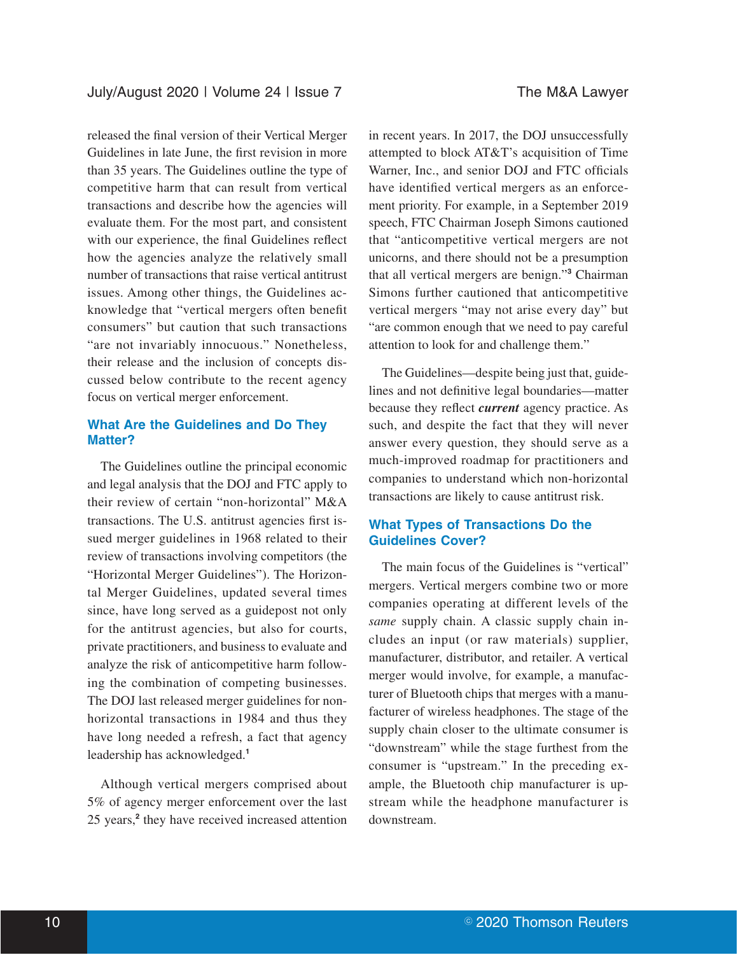released the final version of their Vertical Merger Guidelines in late June, the first revision in more than 35 years. The Guidelines outline the type of competitive harm that can result from vertical transactions and describe how the agencies will evaluate them. For the most part, and consistent with our experience, the final Guidelines reflect how the agencies analyze the relatively small number of transactions that raise vertical antitrust issues. Among other things, the Guidelines acknowledge that "vertical mergers often benefit consumers" but caution that such transactions "are not invariably innocuous." Nonetheless, their release and the inclusion of concepts discussed below contribute to the recent agency focus on vertical merger enforcement.

## **What Are the Guidelines and Do They Matter?**

The Guidelines outline the principal economic and legal analysis that the DOJ and FTC apply to their review of certain "non-horizontal" M&A transactions. The U.S. antitrust agencies first issued merger guidelines in 1968 related to their review of transactions involving competitors (the "Horizontal Merger Guidelines"). The Horizontal Merger Guidelines, updated several times since, have long served as a guidepost not only for the antitrust agencies, but also for courts, private practitioners, and business to evaluate and analyze the risk of anticompetitive harm following the combination of competing businesses. The DOJ last released merger guidelines for nonhorizontal transactions in 1984 and thus they have long needed a refresh, a fact that agency leadership has acknowledged.**<sup>1</sup>**

Although vertical mergers comprised about 5% of agency merger enforcement over the last 25 years,**<sup>2</sup>** they have received increased attention

in recent years. In 2017, the DOJ unsuccessfully attempted to block AT&T's acquisition of Time Warner, Inc., and senior DOJ and FTC officials have identified vertical mergers as an enforcement priority. For example, in a September 2019 speech, FTC Chairman Joseph Simons cautioned that "anticompetitive vertical mergers are not unicorns, and there should not be a presumption that all vertical mergers are benign."**<sup>3</sup>** Chairman Simons further cautioned that anticompetitive vertical mergers "may not arise every day" but "are common enough that we need to pay careful attention to look for and challenge them."

The Guidelines—despite being just that, guidelines and not definitive legal boundaries—matter because they reflect *current* agency practice. As such, and despite the fact that they will never answer every question, they should serve as a much-improved roadmap for practitioners and companies to understand which non-horizontal transactions are likely to cause antitrust risk.

## **What Types of Transactions Do the Guidelines Cover?**

The main focus of the Guidelines is "vertical" mergers. Vertical mergers combine two or more companies operating at different levels of the *same* supply chain. A classic supply chain includes an input (or raw materials) supplier, manufacturer, distributor, and retailer. A vertical merger would involve, for example, a manufacturer of Bluetooth chips that merges with a manufacturer of wireless headphones. The stage of the supply chain closer to the ultimate consumer is "downstream" while the stage furthest from the consumer is "upstream." In the preceding example, the Bluetooth chip manufacturer is upstream while the headphone manufacturer is downstream.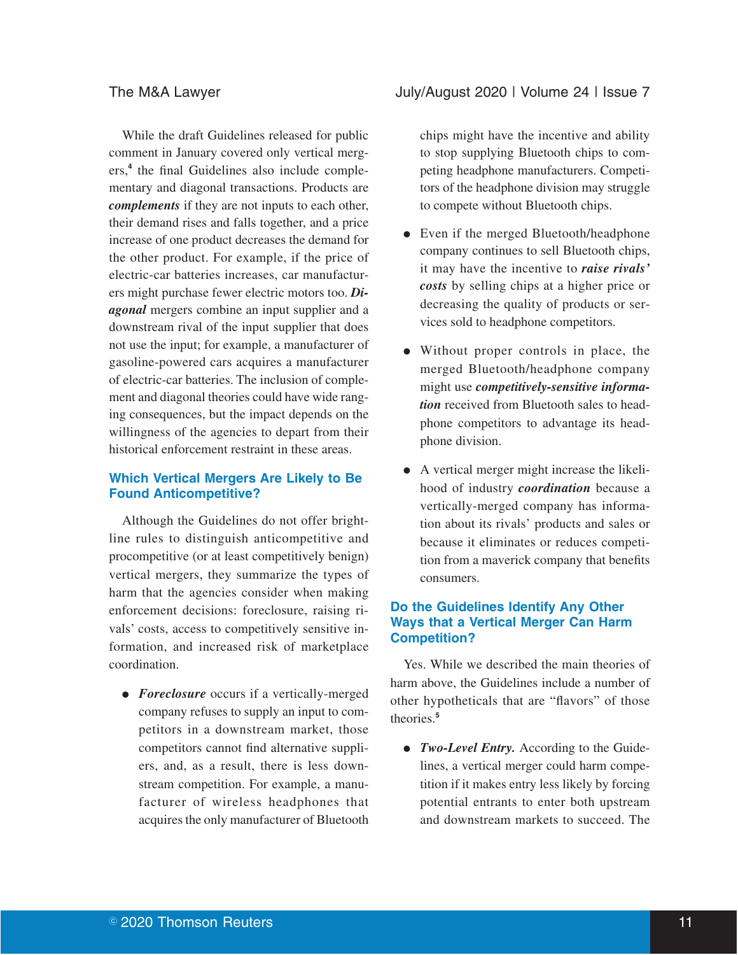While the draft Guidelines released for public comment in January covered only vertical mergers,**<sup>4</sup>** the final Guidelines also include complementary and diagonal transactions. Products are *complements* if they are not inputs to each other, their demand rises and falls together, and a price increase of one product decreases the demand for the other product. For example, if the price of electric-car batteries increases, car manufacturers might purchase fewer electric motors too. *Diagonal* mergers combine an input supplier and a downstream rival of the input supplier that does not use the input; for example, a manufacturer of gasoline-powered cars acquires a manufacturer of electric-car batteries. The inclusion of complement and diagonal theories could have wide ranging consequences, but the impact depends on the willingness of the agencies to depart from their historical enforcement restraint in these areas.

## **Which Vertical Mergers Are Likely to Be Found Anticompetitive?**

Although the Guidelines do not offer brightline rules to distinguish anticompetitive and procompetitive (or at least competitively benign) vertical mergers, they summarize the types of harm that the agencies consider when making enforcement decisions: foreclosure, raising rivals' costs, access to competitively sensitive information, and increased risk of marketplace coordination.

• *Foreclosure* occurs if a vertically-merged company refuses to supply an input to competitors in a downstream market, those competitors cannot find alternative suppliers, and, as a result, there is less downstream competition. For example, a manufacturer of wireless headphones that acquires the only manufacturer of Bluetooth

### The M&A Lawyer **The M&A Lawyer** July/August 2020 | Volume 24 | Issue 7

chips might have the incentive and ability to stop supplying Bluetooth chips to competing headphone manufacturers. Competitors of the headphone division may struggle to compete without Bluetooth chips.

- Even if the merged Bluetooth/headphone company continues to sell Bluetooth chips, it may have the incentive to *raise rivals' costs* by selling chips at a higher price or decreasing the quality of products or services sold to headphone competitors.
- Without proper controls in place, the merged Bluetooth/headphone company might use *competitively-sensitive information* received from Bluetooth sales to headphone competitors to advantage its headphone division.
- E A vertical merger might increase the likelihood of industry *coordination* because a vertically-merged company has information about its rivals' products and sales or because it eliminates or reduces competition from a maverick company that benefits consumers.

## **Do the Guidelines Identify Any Other Ways that a Vertical Merger Can Harm Competition?**

Yes. While we described the main theories of harm above, the Guidelines include a number of other hypotheticals that are "flavors" of those theories.**<sup>5</sup>**

• Two-Level Entry. According to the Guidelines, a vertical merger could harm competition if it makes entry less likely by forcing potential entrants to enter both upstream and downstream markets to succeed. The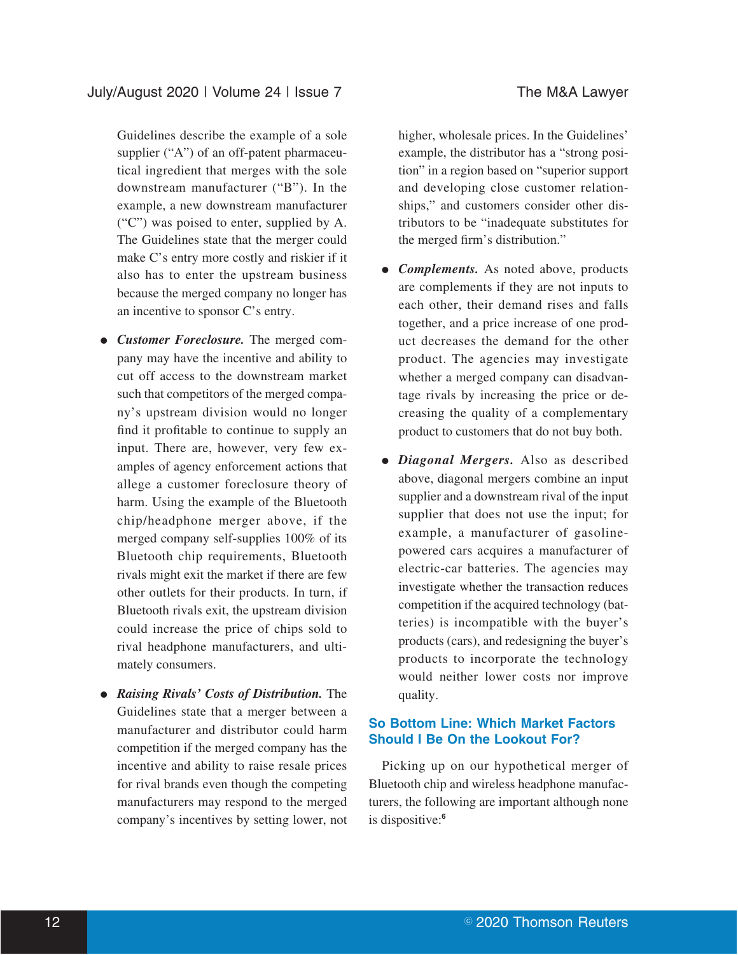Guidelines describe the example of a sole supplier ("A") of an off-patent pharmaceutical ingredient that merges with the sole downstream manufacturer ("B"). In the example, a new downstream manufacturer ("C") was poised to enter, supplied by A. The Guidelines state that the merger could make C's entry more costly and riskier if it also has to enter the upstream business because the merged company no longer has an incentive to sponsor C's entry.

- *Customer Foreclosure*. The merged company may have the incentive and ability to cut off access to the downstream market such that competitors of the merged company's upstream division would no longer find it profitable to continue to supply an input. There are, however, very few examples of agency enforcement actions that allege a customer foreclosure theory of harm. Using the example of the Bluetooth chip/headphone merger above, if the merged company self-supplies 100% of its Bluetooth chip requirements, Bluetooth rivals might exit the market if there are few other outlets for their products. In turn, if Bluetooth rivals exit, the upstream division could increase the price of chips sold to rival headphone manufacturers, and ultimately consumers.
- **Raising Rivals' Costs of Distribution.** The Guidelines state that a merger between a manufacturer and distributor could harm competition if the merged company has the incentive and ability to raise resale prices for rival brands even though the competing manufacturers may respond to the merged company's incentives by setting lower, not

higher, wholesale prices. In the Guidelines' example, the distributor has a "strong position" in a region based on "superior support and developing close customer relationships," and customers consider other distributors to be "inadequate substitutes for the merged firm's distribution."

- *Complements*. As noted above, products are complements if they are not inputs to each other, their demand rises and falls together, and a price increase of one product decreases the demand for the other product. The agencies may investigate whether a merged company can disadvantage rivals by increasing the price or decreasing the quality of a complementary product to customers that do not buy both.
- *Diagonal Mergers.* Also as described above, diagonal mergers combine an input supplier and a downstream rival of the input supplier that does not use the input; for example, a manufacturer of gasolinepowered cars acquires a manufacturer of electric-car batteries. The agencies may investigate whether the transaction reduces competition if the acquired technology (batteries) is incompatible with the buyer's products (cars), and redesigning the buyer's products to incorporate the technology would neither lower costs nor improve quality.

## **So Bottom Line: Which Market Factors Should I Be On the Lookout For?**

Picking up on our hypothetical merger of Bluetooth chip and wireless headphone manufacturers, the following are important although none is dispositive:**<sup>6</sup>**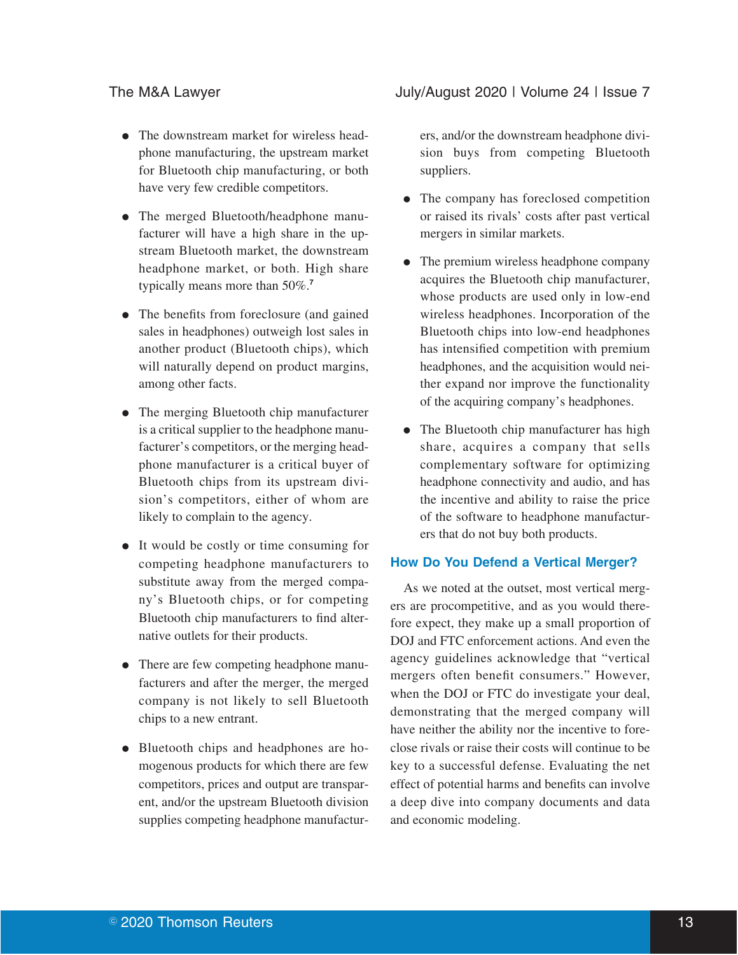- The downstream market for wireless headphone manufacturing, the upstream market for Bluetooth chip manufacturing, or both have very few credible competitors.
- The merged Bluetooth/headphone manufacturer will have a high share in the upstream Bluetooth market, the downstream headphone market, or both. High share typically means more than 50%.**<sup>7</sup>**
- The benefits from foreclosure (and gained) sales in headphones) outweigh lost sales in another product (Bluetooth chips), which will naturally depend on product margins, among other facts.
- The merging Bluetooth chip manufacturer is a critical supplier to the headphone manufacturer's competitors, or the merging headphone manufacturer is a critical buyer of Bluetooth chips from its upstream division's competitors, either of whom are likely to complain to the agency.
- It would be costly or time consuming for competing headphone manufacturers to substitute away from the merged company's Bluetooth chips, or for competing Bluetooth chip manufacturers to find alternative outlets for their products.
- There are few competing headphone manufacturers and after the merger, the merged company is not likely to sell Bluetooth chips to a new entrant.
- Bluetooth chips and headphones are homogenous products for which there are few competitors, prices and output are transparent, and/or the upstream Bluetooth division supplies competing headphone manufactur-

The M&A Lawyer **The M&A Lawyer** July/August 2020 | Volume 24 | Issue 7

ers, and/or the downstream headphone division buys from competing Bluetooth suppliers.

- The company has foreclosed competition or raised its rivals' costs after past vertical mergers in similar markets.
- The premium wireless headphone company acquires the Bluetooth chip manufacturer, whose products are used only in low-end wireless headphones. Incorporation of the Bluetooth chips into low-end headphones has intensified competition with premium headphones, and the acquisition would neither expand nor improve the functionality of the acquiring company's headphones.
- The Bluetooth chip manufacturer has high share, acquires a company that sells complementary software for optimizing headphone connectivity and audio, and has the incentive and ability to raise the price of the software to headphone manufacturers that do not buy both products.

#### **How Do You Defend a Vertical Merger?**

As we noted at the outset, most vertical mergers are procompetitive, and as you would therefore expect, they make up a small proportion of DOJ and FTC enforcement actions. And even the agency guidelines acknowledge that "vertical mergers often benefit consumers." However, when the DOJ or FTC do investigate your deal, demonstrating that the merged company will have neither the ability nor the incentive to foreclose rivals or raise their costs will continue to be key to a successful defense. Evaluating the net effect of potential harms and benefits can involve a deep dive into company documents and data and economic modeling.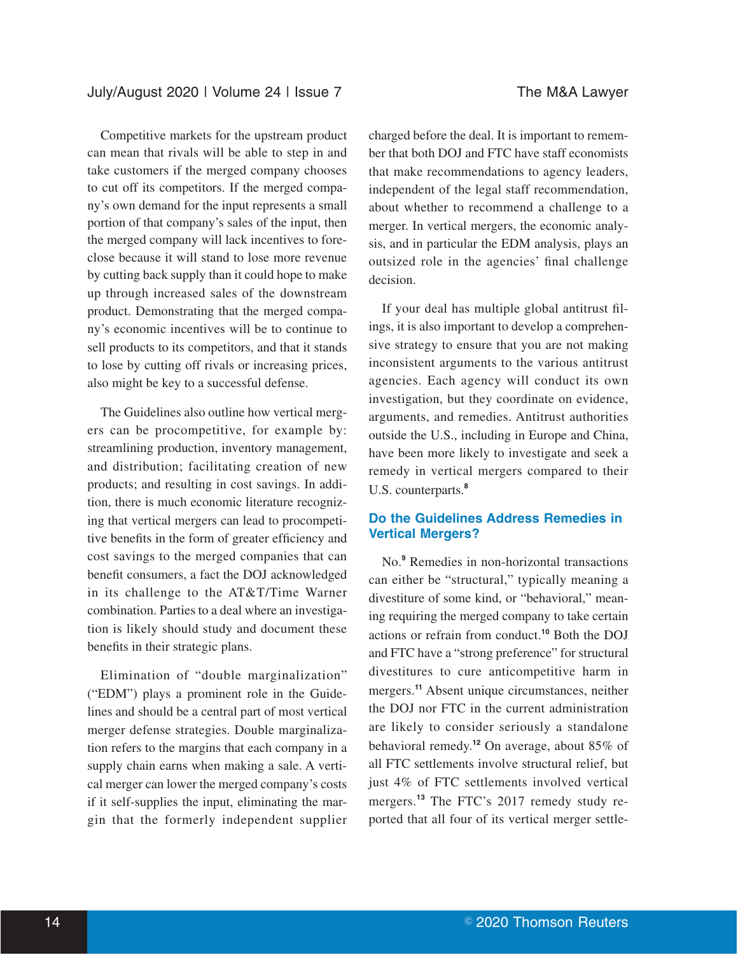Competitive markets for the upstream product can mean that rivals will be able to step in and take customers if the merged company chooses to cut off its competitors. If the merged company's own demand for the input represents a small portion of that company's sales of the input, then the merged company will lack incentives to foreclose because it will stand to lose more revenue by cutting back supply than it could hope to make up through increased sales of the downstream product. Demonstrating that the merged company's economic incentives will be to continue to sell products to its competitors, and that it stands to lose by cutting off rivals or increasing prices, also might be key to a successful defense.

The Guidelines also outline how vertical mergers can be procompetitive, for example by: streamlining production, inventory management, and distribution; facilitating creation of new products; and resulting in cost savings. In addition, there is much economic literature recognizing that vertical mergers can lead to procompetitive benefits in the form of greater efficiency and cost savings to the merged companies that can benefit consumers, a fact the DOJ acknowledged in its challenge to the AT&T/Time Warner combination. Parties to a deal where an investigation is likely should study and document these benefits in their strategic plans.

Elimination of "double marginalization" ("EDM") plays a prominent role in the Guidelines and should be a central part of most vertical merger defense strategies. Double marginalization refers to the margins that each company in a supply chain earns when making a sale. A vertical merger can lower the merged company's costs if it self-supplies the input, eliminating the margin that the formerly independent supplier charged before the deal. It is important to remember that both DOJ and FTC have staff economists that make recommendations to agency leaders, independent of the legal staff recommendation, about whether to recommend a challenge to a merger. In vertical mergers, the economic analysis, and in particular the EDM analysis, plays an outsized role in the agencies' final challenge decision.

If your deal has multiple global antitrust filings, it is also important to develop a comprehensive strategy to ensure that you are not making inconsistent arguments to the various antitrust agencies. Each agency will conduct its own investigation, but they coordinate on evidence, arguments, and remedies. Antitrust authorities outside the U.S., including in Europe and China, have been more likely to investigate and seek a remedy in vertical mergers compared to their U.S. counterparts.**<sup>8</sup>**

## **Do the Guidelines Address Remedies in Vertical Mergers?**

No.**<sup>9</sup>** Remedies in non-horizontal transactions can either be "structural," typically meaning a divestiture of some kind, or "behavioral," meaning requiring the merged company to take certain actions or refrain from conduct.**<sup>10</sup>** Both the DOJ and FTC have a "strong preference" for structural divestitures to cure anticompetitive harm in mergers.**<sup>11</sup>** Absent unique circumstances, neither the DOJ nor FTC in the current administration are likely to consider seriously a standalone behavioral remedy.**<sup>12</sup>** On average, about 85% of all FTC settlements involve structural relief, but just 4% of FTC settlements involved vertical mergers.**<sup>13</sup>** The FTC's 2017 remedy study reported that all four of its vertical merger settle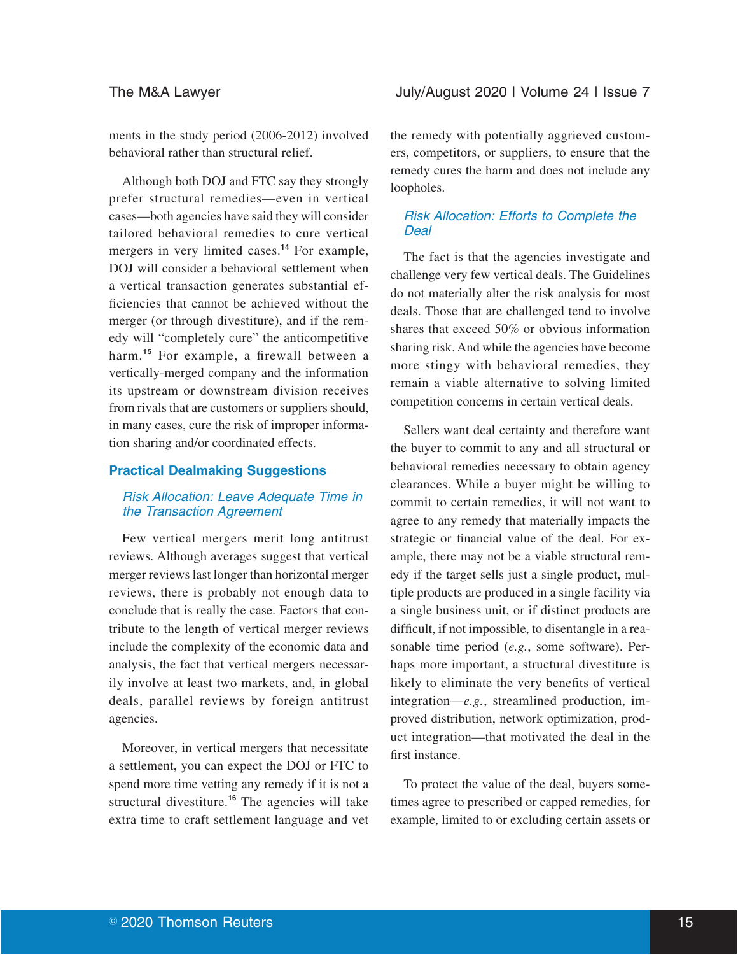ments in the study period (2006-2012) involved behavioral rather than structural relief.

Although both DOJ and FTC say they strongly prefer structural remedies—even in vertical cases—both agencies have said they will consider tailored behavioral remedies to cure vertical mergers in very limited cases.**<sup>14</sup>** For example, DOJ will consider a behavioral settlement when a vertical transaction generates substantial efficiencies that cannot be achieved without the merger (or through divestiture), and if the remedy will "completely cure" the anticompetitive harm.<sup>15</sup> For example, a firewall between a vertically-merged company and the information its upstream or downstream division receives from rivals that are customers or suppliers should, in many cases, cure the risk of improper information sharing and/or coordinated effects.

#### **Practical Dealmaking Suggestions**

### Risk Allocation: Leave Adequate Time in the Transaction Agreement

Few vertical mergers merit long antitrust reviews. Although averages suggest that vertical merger reviews last longer than horizontal merger reviews, there is probably not enough data to conclude that is really the case. Factors that contribute to the length of vertical merger reviews include the complexity of the economic data and analysis, the fact that vertical mergers necessarily involve at least two markets, and, in global deals, parallel reviews by foreign antitrust agencies.

Moreover, in vertical mergers that necessitate a settlement, you can expect the DOJ or FTC to spend more time vetting any remedy if it is not a structural divestiture.**<sup>16</sup>** The agencies will take extra time to craft settlement language and vet

the remedy with potentially aggrieved customers, competitors, or suppliers, to ensure that the remedy cures the harm and does not include any loopholes.

## Risk Allocation: Efforts to Complete the **Deal**

The fact is that the agencies investigate and challenge very few vertical deals. The Guidelines do not materially alter the risk analysis for most deals. Those that are challenged tend to involve shares that exceed 50% or obvious information sharing risk. And while the agencies have become more stingy with behavioral remedies, they remain a viable alternative to solving limited competition concerns in certain vertical deals.

Sellers want deal certainty and therefore want the buyer to commit to any and all structural or behavioral remedies necessary to obtain agency clearances. While a buyer might be willing to commit to certain remedies, it will not want to agree to any remedy that materially impacts the strategic or financial value of the deal. For example, there may not be a viable structural remedy if the target sells just a single product, multiple products are produced in a single facility via a single business unit, or if distinct products are difficult, if not impossible, to disentangle in a reasonable time period (*e.g.*, some software). Perhaps more important, a structural divestiture is likely to eliminate the very benefits of vertical integration—*e.g.*, streamlined production, improved distribution, network optimization, product integration—that motivated the deal in the first instance.

To protect the value of the deal, buyers sometimes agree to prescribed or capped remedies, for example, limited to or excluding certain assets or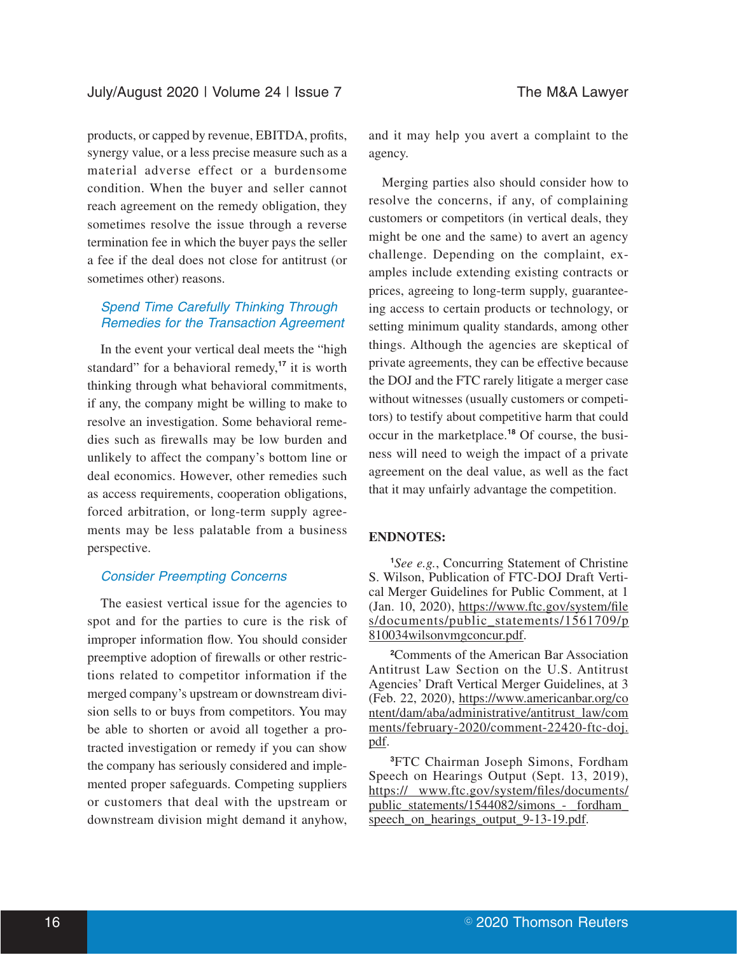products, or capped by revenue, EBITDA, profits, synergy value, or a less precise measure such as a material adverse effect or a burdensome condition. When the buyer and seller cannot reach agreement on the remedy obligation, they sometimes resolve the issue through a reverse termination fee in which the buyer pays the seller a fee if the deal does not close for antitrust (or sometimes other) reasons.

## Spend Time Carefully Thinking Through Remedies for the Transaction Agreement

In the event your vertical deal meets the "high standard" for a behavioral remedy,**<sup>17</sup>** it is worth thinking through what behavioral commitments, if any, the company might be willing to make to resolve an investigation. Some behavioral remedies such as firewalls may be low burden and unlikely to affect the company's bottom line or deal economics. However, other remedies such as access requirements, cooperation obligations, forced arbitration, or long-term supply agreements may be less palatable from a business perspective.

## Consider Preempting Concerns

The easiest vertical issue for the agencies to spot and for the parties to cure is the risk of improper information flow. You should consider preemptive adoption of firewalls or other restrictions related to competitor information if the merged company's upstream or downstream division sells to or buys from competitors. You may be able to shorten or avoid all together a protracted investigation or remedy if you can show the company has seriously considered and implemented proper safeguards. Competing suppliers or customers that deal with the upstream or downstream division might demand it anyhow, and it may help you avert a complaint to the agency.

Merging parties also should consider how to resolve the concerns, if any, of complaining customers or competitors (in vertical deals, they might be one and the same) to avert an agency challenge. Depending on the complaint, examples include extending existing contracts or prices, agreeing to long-term supply, guaranteeing access to certain products or technology, or setting minimum quality standards, among other things. Although the agencies are skeptical of private agreements, they can be effective because the DOJ and the FTC rarely litigate a merger case without witnesses (usually customers or competitors) to testify about competitive harm that could occur in the marketplace.**<sup>18</sup>** Of course, the business will need to weigh the impact of a private agreement on the deal value, as well as the fact that it may unfairly advantage the competition.

#### **ENDNOTES:**

**<sup>1</sup>***See e.g.*, Concurring Statement of Christine S. Wilson, Publication of FTC-DOJ Draft Vertical Merger Guidelines for Public Comment, at 1 (Jan. 10, 2020), https://www.ftc.gov/system/file s/documents/public\_statements/1561709/p 810034wilsonvmgconcur.pdf.

**<sup>2</sup>**Comments of the American Bar Association Antitrust Law Section on the U.S. Antitrust Agencies' Draft Vertical Merger Guidelines, at 3 (Feb. 22, 2020), https://www.americanbar.org/co ntent/dam/aba/administrative/antitrust\_law/com ments/february-2020/comment-22420-ftc-doj. pdf.

**<sup>3</sup>**FTC Chairman Joseph Simons, Fordham Speech on Hearings Output (Sept. 13, 2019), https:// www.ftc.gov/system/files/documents/ public statements/1544082/simons - fordham speech\_on\_hearings\_output\_9-13-19.pdf.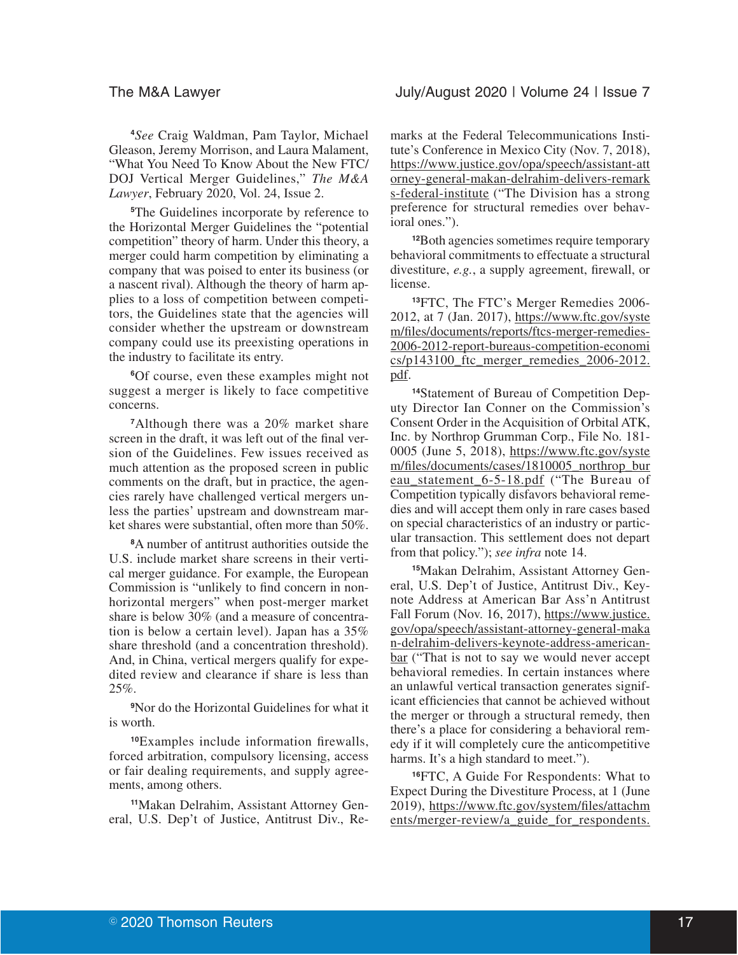**<sup>4</sup>***See* Craig Waldman, Pam Taylor, Michael Gleason, Jeremy Morrison, and Laura Malament, "What You Need To Know About the New FTC/ DOJ Vertical Merger Guidelines," *The M&A Lawyer*, February 2020, Vol. 24, Issue 2.

**<sup>5</sup>**The Guidelines incorporate by reference to the Horizontal Merger Guidelines the "potential competition" theory of harm. Under this theory, a merger could harm competition by eliminating a company that was poised to enter its business (or a nascent rival). Although the theory of harm applies to a loss of competition between competitors, the Guidelines state that the agencies will consider whether the upstream or downstream company could use its preexisting operations in the industry to facilitate its entry.

**<sup>6</sup>**Of course, even these examples might not suggest a merger is likely to face competitive concerns.

**<sup>7</sup>**Although there was a 20% market share screen in the draft, it was left out of the final version of the Guidelines. Few issues received as much attention as the proposed screen in public comments on the draft, but in practice, the agencies rarely have challenged vertical mergers unless the parties' upstream and downstream market shares were substantial, often more than 50%.

**<sup>8</sup>**A number of antitrust authorities outside the U.S. include market share screens in their vertical merger guidance. For example, the European Commission is "unlikely to find concern in nonhorizontal mergers" when post-merger market share is below 30% (and a measure of concentration is below a certain level). Japan has a 35% share threshold (and a concentration threshold). And, in China, vertical mergers qualify for expedited review and clearance if share is less than 25%.

**<sup>9</sup>**Nor do the Horizontal Guidelines for what it is worth.

**<sup>10</sup>**Examples include information firewalls, forced arbitration, compulsory licensing, access or fair dealing requirements, and supply agreements, among others.

**11**Makan Delrahim, Assistant Attorney General, U.S. Dep't of Justice, Antitrust Div., Remarks at the Federal Telecommunications Institute's Conference in Mexico City (Nov. 7, 2018), https://www.justice.gov/opa/speech/assistant-att orney-general-makan-delrahim-delivers-remark s-federal-institute ("The Division has a strong preference for structural remedies over behavioral ones.").

**<sup>12</sup>**Both agencies sometimes require temporary behavioral commitments to effectuate a structural divestiture, *e.g.*, a supply agreement, firewall, or license.

**<sup>13</sup>**FTC, The FTC's Merger Remedies 2006- 2012, at 7 (Jan. 2017), https://www.ftc.gov/syste m/files/documents/reports/ftcs-merger-remedies-2006-2012-report-bureaus-competition-economi  $cs/p143100$  ftc merger remedies  $2006-2012$ . pdf.

**14**Statement of Bureau of Competition Deputy Director Ian Conner on the Commission's Consent Order in the Acquisition of Orbital ATK, Inc. by Northrop Grumman Corp., File No. 181- 0005 (June 5, 2018), https://www.ftc.gov/syste m/files/documents/cases/1810005\_northrop\_bur eau\_statement\_6-5-18.pdf ("The Bureau of Competition typically disfavors behavioral remedies and will accept them only in rare cases based on special characteristics of an industry or particular transaction. This settlement does not depart from that policy."); *see infra* note 14.

**15**Makan Delrahim, Assistant Attorney General, U.S. Dep't of Justice, Antitrust Div., Keynote Address at American Bar Ass'n Antitrust Fall Forum (Nov. 16, 2017), https://www.justice. gov/opa/speech/assistant-attorney-general-maka n-delrahim-delivers-keynote-address-americanbar ("That is not to say we would never accept behavioral remedies. In certain instances where an unlawful vertical transaction generates significant efficiencies that cannot be achieved without the merger or through a structural remedy, then there's a place for considering a behavioral remedy if it will completely cure the anticompetitive harms. It's a high standard to meet.").

**<sup>16</sup>**FTC, A Guide For Respondents: What to Expect During the Divestiture Process, at 1 (June 2019), https://www.ftc.gov/system/files/attachm ents/merger-review/a\_guide\_for\_respondents.